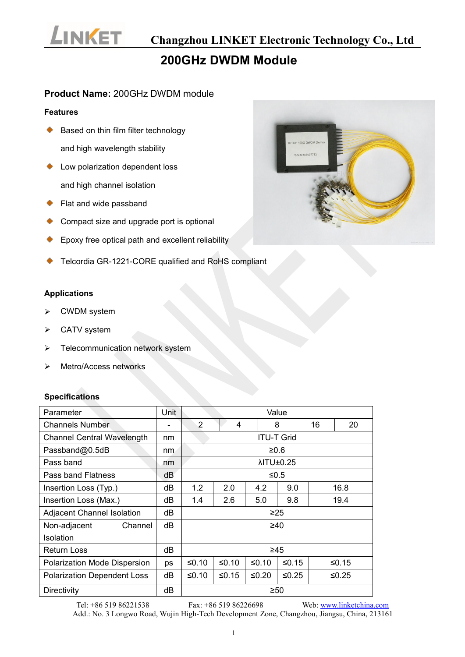

## **200GHz DWDM Module**

#### **Product Name:** 200GHz DWDM module

#### **Features**

- Based on thin film filter technology ۰ and high wavelength stability
- ◆ Low polarization dependent loss and high channel isolation
- ◆ Flat and wide passband
- Compact size and upgrade port is optional
- Epoxy free optical path and excellent reliability
- Telcordia GR-1221-CORE qualified and RoHS compliant

#### **Applications**

- CWDM system
- CATV system
- $\triangleright$  Telecommunication network system
- Metro/Access networks

#### **Specifications**

| Parameter                           | Unit                     | Value                   |         |         |         |    |          |  |
|-------------------------------------|--------------------------|-------------------------|---------|---------|---------|----|----------|--|
| <b>Channels Number</b>              | $\overline{\phantom{a}}$ | $\overline{2}$          | 4       |         | 8       | 16 | 20       |  |
| <b>Channel Central Wavelength</b>   | nm                       | <b>ITU-T Grid</b>       |         |         |         |    |          |  |
| Passband@0.5dB                      | nm                       | $≥0.6$                  |         |         |         |    |          |  |
| Pass band                           | nm                       | <b><i>NITU±0.25</i></b> |         |         |         |    |          |  |
| Pass band Flatness                  | dB                       | $≤0.5$                  |         |         |         |    |          |  |
| Insertion Loss (Typ.)               | dB                       | 1.2                     | 2.0     | 4.2     | 9.0     |    | 16.8     |  |
| Insertion Loss (Max.)               | dB                       | 1.4                     | 2.6     | 5.0     | 9.8     |    | 19.4     |  |
| <b>Adjacent Channel Isolation</b>   | dB                       | $\geq$ 25               |         |         |         |    |          |  |
| Non-adjacent<br>Channel             | dB                       | $\geq 40$               |         |         |         |    |          |  |
| <b>Isolation</b>                    |                          |                         |         |         |         |    |          |  |
| <b>Return Loss</b>                  | dΒ                       | $\geq 45$               |         |         |         |    |          |  |
| <b>Polarization Mode Dispersion</b> | ps                       | $≤0.10$                 | $≤0.10$ | $≤0.10$ | $≤0.15$ |    | ≤ $0.15$ |  |
| <b>Polarization Dependent Loss</b>  | dB                       | ≤0.10                   | $≤0.15$ | $≤0.20$ | $≤0.25$ |    | ≤ $0.25$ |  |
| <b>Directivity</b>                  | dB                       | $\geq 50$               |         |         |         |    |          |  |